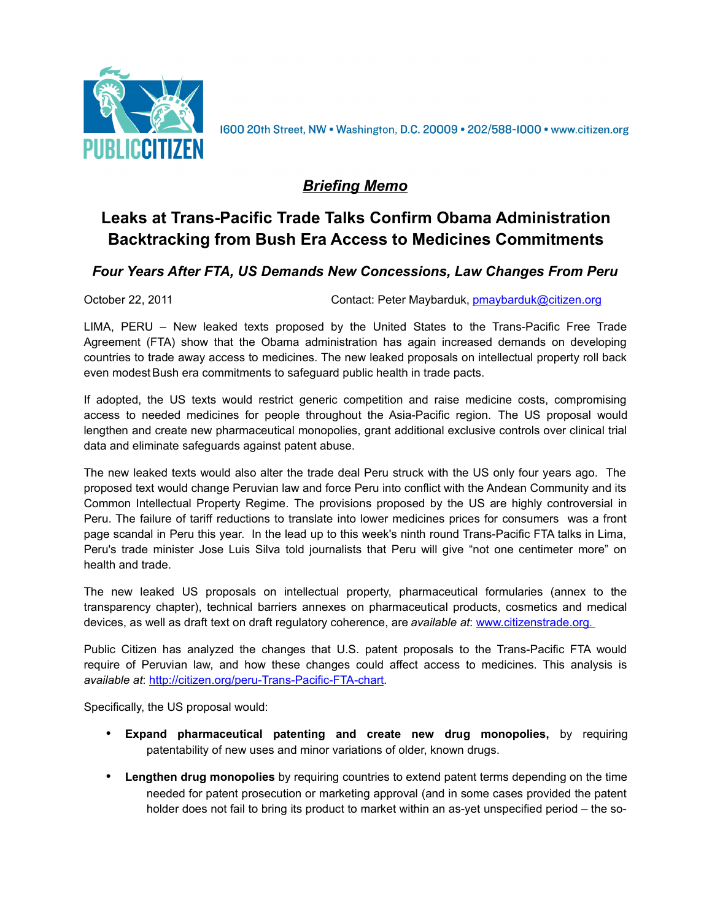

1600 20th Street, NW • Washington, D.C. 20009 • 202/588-1000 • www.citizen.org

## *Briefing Memo*

## **Leaks at Trans-Pacific Trade Talks Confirm Obama Administration Backtracking from Bush Era Access to Medicines Commitments**

## *Four Years After FTA, US Demands New Concessions, Law Changes From Peru*

October 22, 2011 **Contact: Peter Maybarduk, [pmaybarduk@citizen.org](mailto:pmaybarduk@citizen.org)** Contact: Peter Maybarduk, pmaybarduk@citizen.org

LIMA, PERU – New leaked texts proposed by the United States to the Trans-Pacific Free Trade Agreement (FTA) show that the Obama administration has again increased demands on developing countries to trade away access to medicines. The new leaked proposals on intellectual property roll back even modest Bush era commitments to safeguard public health in trade pacts.

If adopted, the US texts would restrict generic competition and raise medicine costs, compromising access to needed medicines for people throughout the Asia-Pacific region. The US proposal would lengthen and create new pharmaceutical monopolies, grant additional exclusive controls over clinical trial data and eliminate safeguards against patent abuse.

The new leaked texts would also alter the trade deal Peru struck with the US only four years ago. The proposed text would change Peruvian law and force Peru into conflict with the Andean Community and its Common Intellectual Property Regime. The provisions proposed by the US are highly controversial in Peru. The failure of tariff reductions to translate into lower medicines prices for consumers was a front page scandal in Peru this year. In the lead up to this week's ninth round Trans-Pacific FTA talks in Lima, Peru's trade minister Jose Luis Silva told journalists that Peru will give "not one centimeter more" on health and trade.

The new leaked US proposals on intellectual property, pharmaceutical formularies (annex to the transparency chapter), technical barriers annexes on pharmaceutical products, cosmetics and medical devices, as well as draft text on draft regulatory coherence, are *available at*: [www.citizenstrade.org .](http://www.citizenstrade.org/)

Public Citizen has analyzed the changes that U.S. patent proposals to the Trans-Pacific FTA would require of Peruvian law, and how these changes could affect access to medicines. This analysis is *available at*: [http://citizen.org/peru-Trans-Pacific-FTA-chart.](http://citizen.org/peru-Trans-Pacific-FTA-chart)

Specifically, the US proposal would:

- **Expand pharmaceutical patenting and create new drug monopolies,** by requiring patentability of new uses and minor variations of older, known drugs.
- **Lengthen drug monopolies** by requiring countries to extend patent terms depending on the time needed for patent prosecution or marketing approval (and in some cases provided the patent holder does not fail to bring its product to market within an as-yet unspecified period – the so-